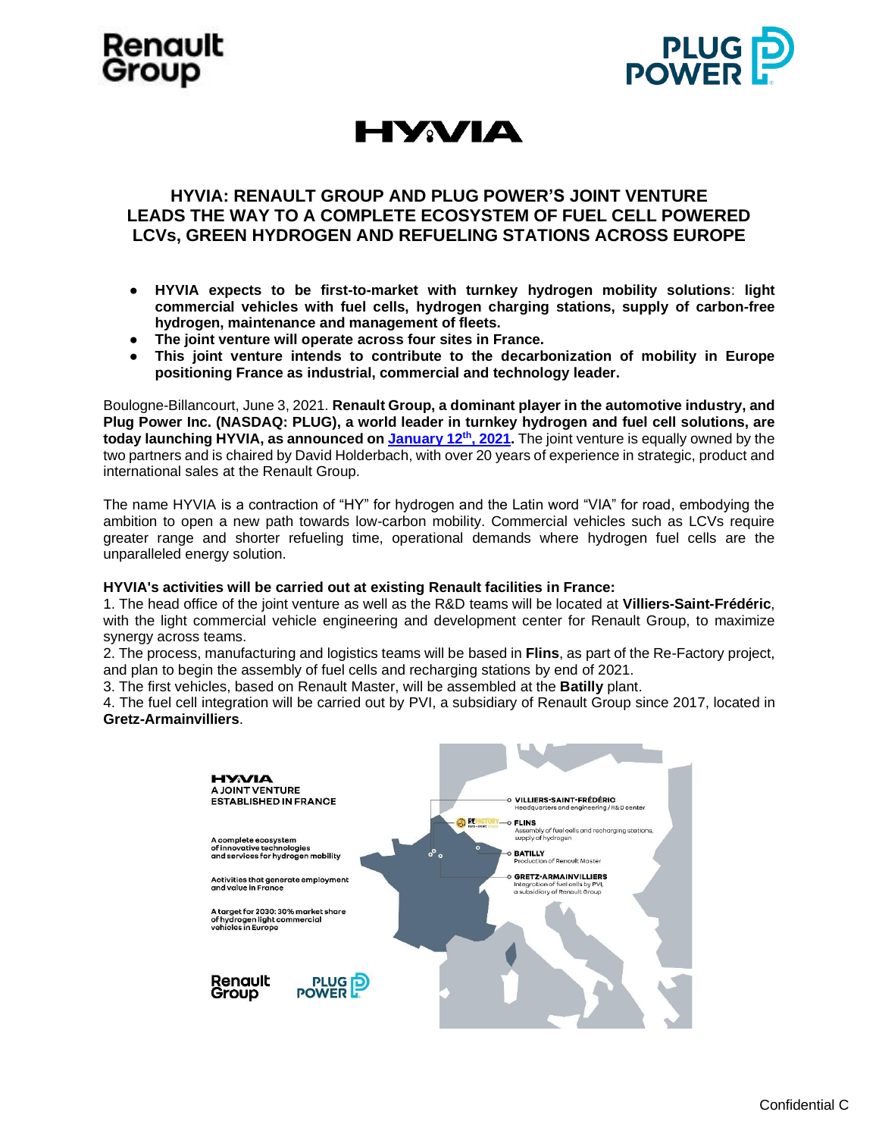





## **HYVIA: RENAULT GROUP AND PLUG POWER'S JOINT VENTURE LEADS THE WAY TO A COMPLETE ECOSYSTEM OF FUEL CELL POWERED LCVs, GREEN HYDROGEN AND REFUELING STATIONS ACROSS EUROPE**

- **HYVIA expects to be first-to-market with turnkey hydrogen mobility solutions**: **light commercial vehicles with fuel cells, hydrogen charging stations, supply of carbon-free hydrogen, maintenance and management of fleets.**
- **The joint venture will operate across four sites in France.**
- **This joint venture intends to contribute to the decarbonization of mobility in Europe positioning France as industrial, commercial and technology leader.**

Boulogne-Billancourt, June 3, 2021. **Renault Group, a dominant player in the automotive industry, and Plug Power Inc. (NASDAQ: PLUG), a world leader in turnkey hydrogen and fuel cell solutions, are today launching HYVIA, as announced on [January 12](https://en.media.renaultgroup.com/news/groupe-renault-plug-power-join-forces-to-become-leader-in-hydrogen-lcv-dc7b-989c5.html)th, 2021.** The joint venture is equally owned by the two partners and is chaired by David Holderbach, with over 20 years of experience in strategic, product and international sales at the Renault Group.

The name HYVIA is a contraction of "HY" for hydrogen and the Latin word "VIA" for road, embodying the ambition to open a new path towards low-carbon mobility. Commercial vehicles such as LCVs require greater range and shorter refueling time, operational demands where hydrogen fuel cells are the unparalleled energy solution.

#### **HYVIA's activities will be carried out at existing Renault facilities in France:**

1. The head office of the joint venture as well as the R&D teams will be located at **Villiers-Saint-Frédéric**, with the light commercial vehicle engineering and development center for Renault Group, to maximize synergy across teams.

2. The process, manufacturing and logistics teams will be based in **Flins**, as part of the Re-Factory project, and plan to begin the assembly of fuel cells and recharging stations by end of 2021.

3. The first vehicles, based on Renault Master, will be assembled at the **Batilly** plant.

4. The fuel cell integration will be carried out by PVI, a subsidiary of Renault Group since 2017, located in **Gretz-Armainvilliers**.

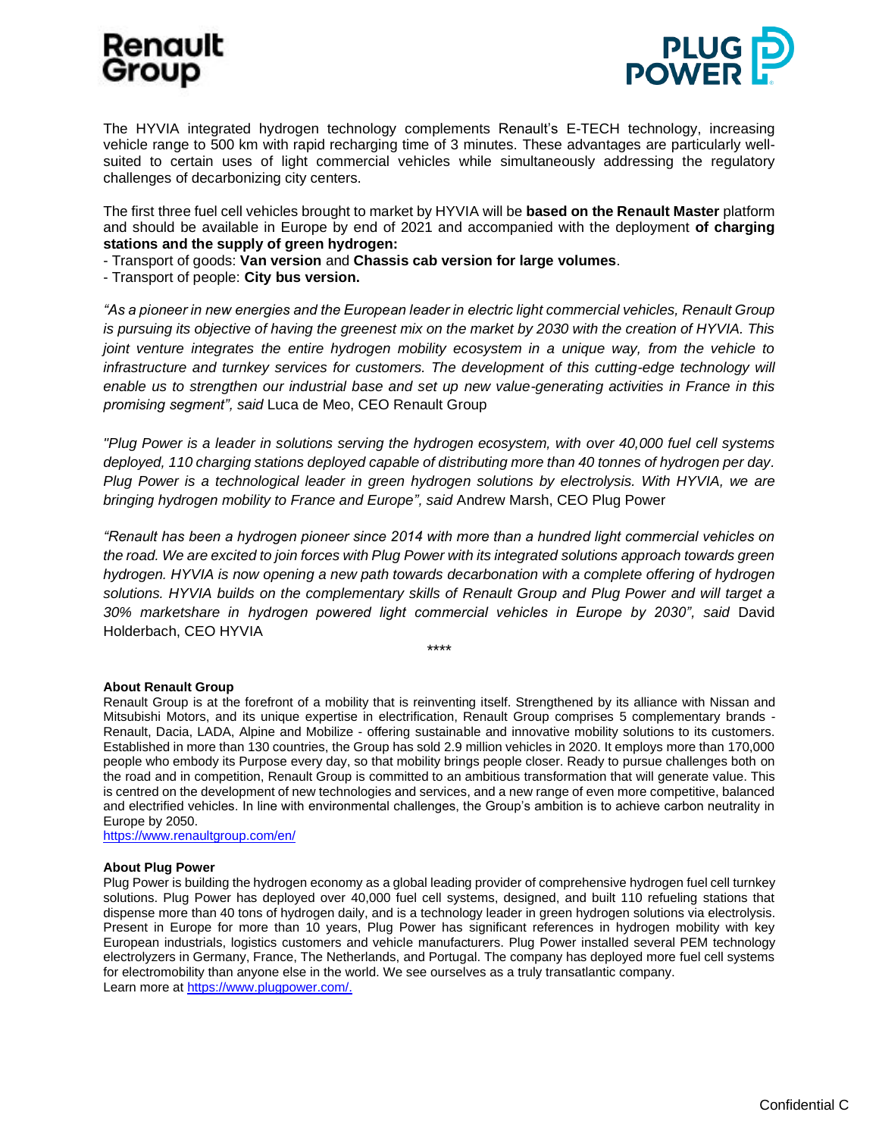# Renault Group



The HYVIA integrated hydrogen technology complements Renault's E-TECH technology, increasing vehicle range to 500 km with rapid recharging time of 3 minutes. These advantages are particularly wellsuited to certain uses of light commercial vehicles while simultaneously addressing the regulatory challenges of decarbonizing city centers.

The first three fuel cell vehicles brought to market by HYVIA will be **based on the Renault Master** platform and should be available in Europe by end of 2021 and accompanied with the deployment **of charging stations and the supply of green hydrogen:**

- Transport of goods: **Van version** and **Chassis cab version for large volumes**.

- Transport of people: **City bus version.**

*"As a pioneer in new energies and the European leader in electric light commercial vehicles, Renault Group is pursuing its objective of having the greenest mix on the market by 2030 with the creation of HYVIA. This joint venture integrates the entire hydrogen mobility ecosystem in a unique way, from the vehicle to*  infrastructure and turnkey services for customers. The development of this cutting-edge technology will *enable us to strengthen our industrial base and set up new value-generating activities in France in this promising segment", said* Luca de Meo, CEO Renault Group

*"Plug Power is a leader in solutions serving the hydrogen ecosystem, with over 40,000 fuel cell systems deployed, 110 charging stations deployed capable of distributing more than 40 tonnes of hydrogen per day. Plug Power is a technological leader in green hydrogen solutions by electrolysis. With HYVIA, we are bringing hydrogen mobility to France and Europe", said* Andrew Marsh, CEO Plug Power

*"Renault has been a hydrogen pioneer since 2014 with more than a hundred light commercial vehicles on the road. We are excited to join forces with Plug Power with its integrated solutions approach towards green hydrogen. HYVIA is now opening a new path towards decarbonation with a complete offering of hydrogen solutions. HYVIA builds on the complementary skills of Renault Group and Plug Power and will target a 30% marketshare in hydrogen powered light commercial vehicles in Europe by 2030", said* David Holderbach, CEO HYVIA

\*\*\*\*

## **About Renault Group**

Renault Group is at the forefront of a mobility that is reinventing itself. Strengthened by its alliance with Nissan and Mitsubishi Motors, and its unique expertise in electrification, Renault Group comprises 5 complementary brands - Renault, Dacia, LADA, Alpine and Mobilize - offering sustainable and innovative mobility solutions to its customers. Established in more than 130 countries, the Group has sold 2.9 million vehicles in 2020. It employs more than 170,000 people who embody its Purpose every day, so that mobility brings people closer. Ready to pursue challenges both on the road and in competition, Renault Group is committed to an ambitious transformation that will generate value. This is centred on the development of new technologies and services, and a new range of even more competitive, balanced and electrified vehicles. In line with environmental challenges, the Group's ambition is to achieve carbon neutrality in Europe by 2050.

<https://www.renaultgroup.com/en/>

## **About Plug Power**

Plug Power is building the hydrogen economy as a global leading provider of comprehensive hydrogen fuel cell turnkey solutions. Plug Power has deployed over 40,000 fuel cell systems, designed, and built 110 refueling stations that dispense more than 40 tons of hydrogen daily, and is a technology leader in green hydrogen solutions via electrolysis. Present in Europe for more than 10 years, Plug Power has significant references in hydrogen mobility with key European industrials, logistics customers and vehicle manufacturers. Plug Power installed several PEM technology electrolyzers in Germany, France, The Netherlands, and Portugal. The company has deployed more fuel cell systems for electromobility than anyone else in the world. We see ourselves as a truly transatlantic company. Learn more a[t https://www.plugpower.com/.](https://www.plugpower.com/)